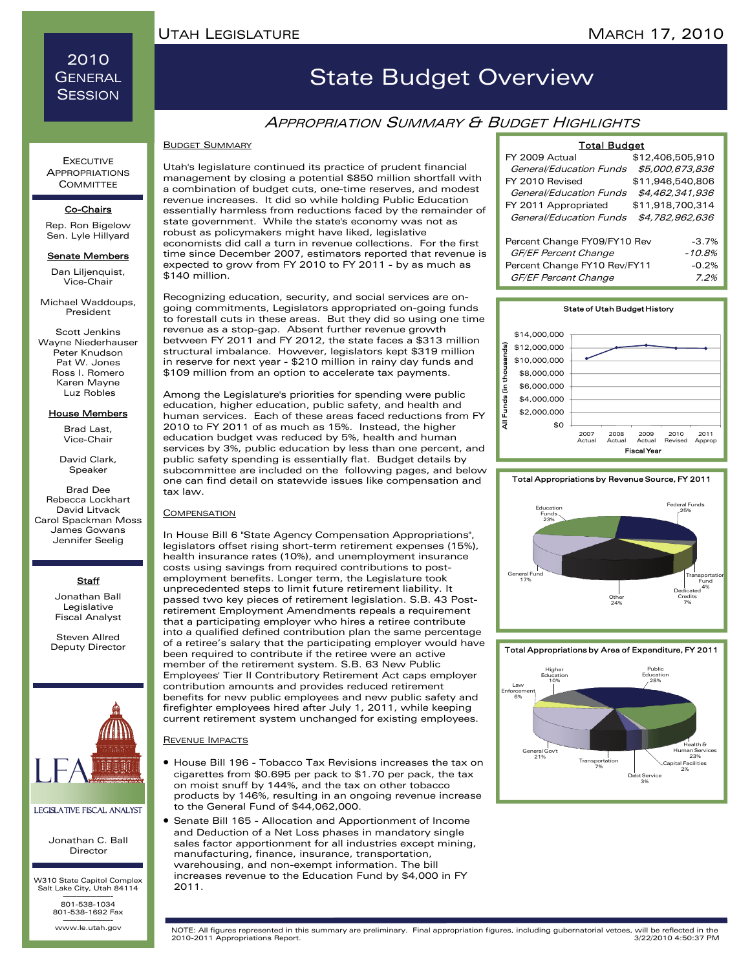2010 **GENERAL SESSION** 

## State Budget Overview

### **APPROPRIATION SUMMARY & BUDGET HIGHLIGHTS**

#### BUDGET SUMMARY

Utah's legislature continued its practice of prudent financial management by closing a potential \$850 million shortfall with a combination of budget cuts, one-time reserves, and modest revenue increases. It did so while holding Public Education essentially harmless from reductions faced by the remainder of state government. While the state's economy was not as robust as policymakers might have liked, legislative economists did call a turn in revenue collections. For the first time since December 2007, estimators reported that revenue is expected to grow from FY 2010 to FY 2011 - by as much as \$140 million.

Recognizing education, security, and social services are ongoing commitments, Legislators appropriated on-going funds to forestall cuts in these areas. But they did so using one time revenue as a stop-gap. Absent further revenue growth between FY 2011 and FY 2012, the state faces a \$313 million structural imbalance. However, legislators kept \$319 million in reserve for next year - \$210 million in rainy day funds and \$109 million from an option to accelerate tax payments.

Among the Legislature's priorities for spending were public education, higher education, public safety, and health and human services. Each of these areas faced reductions from FY 2010 to FY 2011 of as much as 15%. Instead, the higher education budget was reduced by 5%, health and human services by 3%, public education by less than one percent, and public safety spending is essentially flat. Budget details by subcommittee are included on the following pages, and below one can find detail on statewide issues like compensation and tax law.

#### **COMPENSATION**

In House Bill 6 "State Agency Compensation Appropriations", legislators offset rising short-term retirement expenses (15%), health insurance rates (10%), and unemployment insurance costs using savings from required contributions to postemployment benefits. Longer term, the Legislature took unprecedented steps to limit future retirement liability. It passed two key pieces of retirement legislation. S.B. 43 Postretirement Employment Amendments repeals a requirement that a participating employer who hires a retiree contribute into a qualified defined contribution plan the same percentage of a retiree's salary that the participating employer would have been required to contribute if the retiree were an active member of the retirement system. S.B. 63 New Public Employees' Tier II Contributory Retirement Act caps employer contribution amounts and provides reduced retirement benefits for new public employees and new public safety and firefighter employees hired after July 1, 2011, while keeping current retirement system unchanged for existing employees.

#### REVENUE IMPACTS

- House Bill 196 Tobacco Tax Revisions increases the tax on cigarettes from \$0.695 per pack to \$1.70 per pack, the tax on moist snuff by 144%, and the tax on other tobacco products by 146%, resulting in an ongoing revenue increase to the General Fund of \$44,062,000.
- Senate Bill 165 Allocation and Apportionment of Income and Deduction of a Net Loss phases in mandatory single sales factor apportionment for all industries except mining, manufacturing, finance, insurance, transportation, warehousing, and non-exempt information. The bill increases revenue to the Education Fund by \$4,000 in FY 2011.

#### Total Budget

| .                            |                  |  |
|------------------------------|------------------|--|
| FY 2009 Actual               | \$12,406,505,910 |  |
| General/Education Funds      | \$5,000,673,836  |  |
| FY 2010 Revised              | \$11,946,540,806 |  |
| General/Education Funds      | \$4,462,341,936  |  |
| FY 2011 Appropriated         | \$11,918,700,314 |  |
| General/Education Funds      | \$4,782,962,636  |  |
| Percent Change FY09/FY10 Rev | $-3.7%$          |  |
| GF/EF Percent Change         | $-10.8%$         |  |
| Percent Change FY10 Rev/FY11 | $-0.2%$          |  |
| GF/EF Percent Change         | 7.2%             |  |



#### Total Appropriations by Revenue Source, FY 2011



#### Total Appropriations by Area of Expenditure, FY 2011



#### **EXECUTIVE APPROPRIATIONS COMMITTEE**

#### Co-Chairs

Rep. Ron Bigelow Sen. Lyle Hillyard

#### Senate Members

Dan Liljenquist, Vice-Chair

Michael Waddoups, President

Scott Jenkins Wayne Niederhauser Peter Knudson Pat W. Jones Ross I. Romero Karen Mayne Luz Robles

#### House Members

Brad Last, Vice-Chair

David Clark, **Speaker** 

Brad Dee Rebecca Lockhart David Litvack Carol Spackman Moss James Gowans Jennifer Seelig

#### **Staff**

Jonathan Ball Legislative Fiscal Analyst

Steven Allred Deputy Director



#### Legislative Fiscal Analyst

Jonathan C. Ball Director

W310 State Capitol Complex Salt Lake City, Utah 84114 ———————- 801-538-1034

801-538-1692 Fax www.le.utah.gov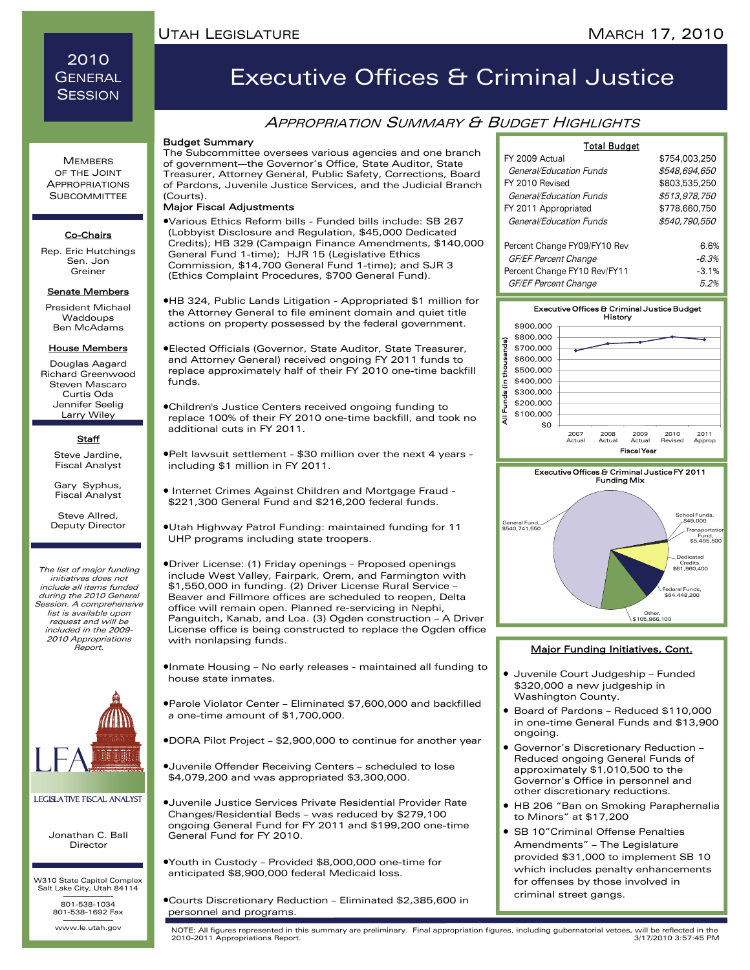## 2010 **GENERAL SESSION**

#### **MEMBERS** OF THE JOINT APPROPRIATIONS **SUBCOMMITTEE**

#### Co-Chairs

Rep. Eric Hutchings Sen. Jon Greiner

#### **Senate Members**

President Michael Waddoups Ben McAdams

#### House Members

Douglas Aagard Richard Greenwood Steven Mascaro Curtis Oda Jennifer Seelig Larry Wiley

#### **Staff**

Steve Jardine, Fiscal Analyst Gary Syphus,

Fiscal Analyst Steve Allred, Deputy Director

The list of major funding initiatives does not include all items funded during the 2010 General Session. A comprehensive list is available upon request and will be included in the 2009- 2010 Appropriations Report.



#### Legislative Fiscal Analyst

Jonathan C. Ball Director

W310 State Capitol Complex Salt Lake City, Utah 84114 ———————- 801-538-1034

801-538-1692 Fax

www.le.utah.gov

# Executive Offices & Criminal Justice

## **APPROPRIATION SUMMARY & BUDGET HIGHLIGHTS**

#### Budget Summary

The Subcommittee oversees various agencies and one branch of government—the Governor's Office, State Auditor, State Treasurer, Attorney General, Public Safety, Corrections, Board of Pardons, Juvenile Justice Services, and the Judicial Branch (Courts).

#### Major Fiscal Adjustments

•Various Ethics Reform bills - Funded bills include: SB 267 (Lobbyist Disclosure and Regulation, \$45,000 Dedicated Credits); HB 329 (Campaign Finance Amendments, \$140,000 General Fund 1-time); HJR 15 (Legislative Ethics Commission, \$14,700 General Fund 1-time); and SJR 3 (Ethics Complaint Procedures, \$700 General Fund).

•HB 324, Public Lands Litigation - Appropriated \$1 million for the Attorney General to file eminent domain and quiet title actions on property possessed by the federal government.

- •Elected Officials (Governor, State Auditor, State Treasurer, and Attorney General) received ongoing FY 2011 funds to replace approximately half of their FY 2010 one-time backfill funds.
- •Children's Justice Centers received ongoing funding to replace 100% of their FY 2010 one-time backfill, and took no additional cuts in FY 2011.
- •Pelt lawsuit settlement \$30 million over the next 4 years including \$1 million in FY 2011.
- Internet Crimes Against Children and Mortgage Fraud \$221,300 General Fund and \$216,200 federal funds.
- •Utah Highway Patrol Funding: maintained funding for 11 UHP programs including state troopers.

•Driver License: (1) Friday openings – Proposed openings include West Valley, Fairpark, Orem, and Farmington with \$1,550,000 in funding. (2) Driver License Rural Service – Beaver and Fillmore offices are scheduled to reopen, Delta office will remain open. Planned re-servicing in Nephi, Panguitch, Kanab, and Loa. (3) Ogden construction – A Driver License office is being constructed to replace the Ogden office with nonlapsing funds.

•Inmate Housing – No early releases - maintained all funding to house state inmates.

- •Parole Violator Center Eliminated \$7,600,000 and backfilled a one-time amount of \$1,700,000.
- •DORA Pilot Project \$2,900,000 to continue for another year
- •Juvenile Offender Receiving Centers scheduled to lose \$4,079,200 and was appropriated \$3,300,000.

•Juvenile Justice Services Private Residential Provider Rate Changes/Residential Beds – was reduced by \$279,100 ongoing General Fund for FY 2011 and \$199,200 one-time General Fund for FY 2010.

•Youth in Custody – Provided \$8,000,000 one-time for anticipated \$8,900,000 federal Medicaid loss.

•Courts Discretionary Reduction – Eliminated \$2,385,600 in personnel and programs.

| Total Budget                 |               |  |
|------------------------------|---------------|--|
| FY 2009 Actual               | \$754,003,250 |  |
| General/Education Funds      | \$548.694.650 |  |
| FY 2010 Revised              | \$803,535,250 |  |
| General/Education Funds      | \$513,978,750 |  |
| FY 2011 Appropriated         | \$778,660,750 |  |
| General/Education Funds      | \$540,790,550 |  |
| Percent Change FY09/FY10 Rev | 6.6%          |  |
| GF/EF Percent Change         | $-6.3%$       |  |
| Percent Change FY10 Rev/FY11 | $-3.1%$       |  |
| GF/EF Percent Change         | 5.2%          |  |



#### Major Funding Initiatives, Cont.

Credits, \$61,960,400

Federal Funds, \$64,448,200

Other, \$105,966,100

- Juvenile Court Judgeship Funded \$320,000 a new judgeship in Washington County.
- Board of Pardons Reduced \$110,000 in one-time General Funds and \$13,900 ongoing.
- Governor's Discretionary Reduction Reduced ongoing General Funds of approximately \$1,010,500 to the Governor's Office in personnel and other discretionary reductions.
- HB 206 "Ban on Smoking Paraphernalia to Minors" at \$17,200
- SB 10"Criminal Offense Penalties Amendments" – The Legislature provided \$31,000 to implement SB 10 which includes penalty enhancements for offenses by those involved in criminal street gangs.

www.le.utah.gov NOTE: All figures represented in this summary are preliminary. Final appropriation figures, including gubernatorial vetoes, will be reflected in the 2010-2011 Appropriations Report.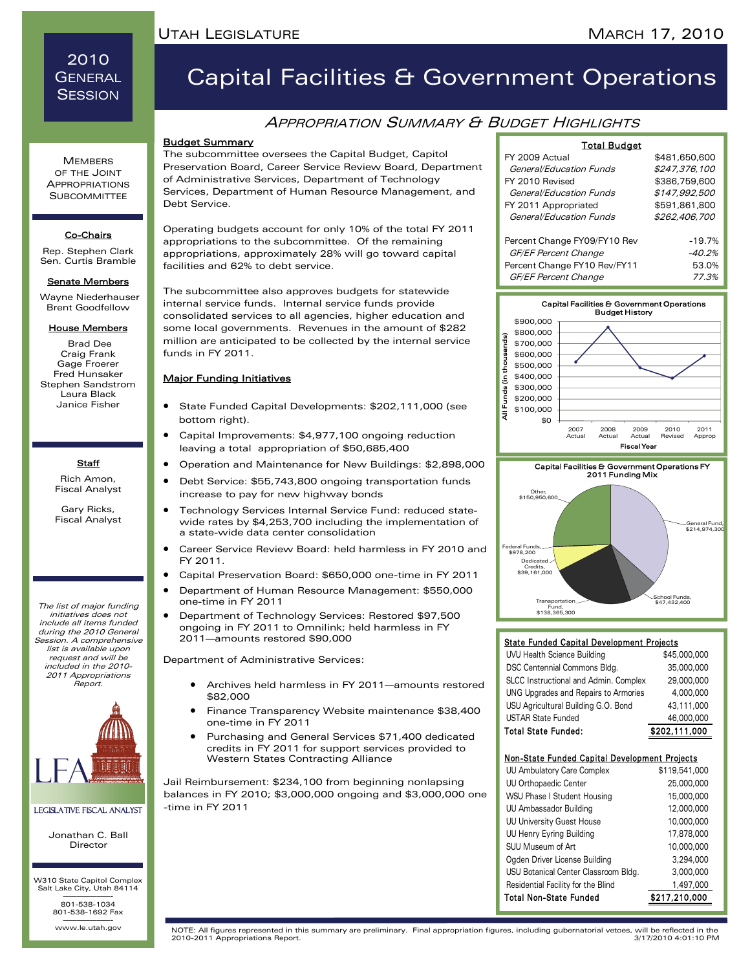## 2010 **GENERAL SESSION**

# Capital Facilities & Government Operations

## **APPROPRIATION SUMMARY & BUDGET HIGHLIGHTS**

### Budget Summary

The subcommittee oversees the Capital Budget, Capitol Preservation Board, Career Service Review Board, Department of Administrative Services, Department of Technology Services, Department of Human Resource Management, and Debt Service.

Operating budgets account for only 10% of the total FY 2011 appropriations to the subcommittee. Of the remaining appropriations, approximately 28% will go toward capital facilities and 62% to debt service.

The subcommittee also approves budgets for statewide internal service funds. Internal service funds provide consolidated services to all agencies, higher education and some local governments. Revenues in the amount of \$282 million are anticipated to be collected by the internal service funds in FY 2011.

#### Major Funding Initiatives

- State Funded Capital Developments: \$202,111,000 (see bottom right).
- Capital Improvements: \$4,977,100 ongoing reduction leaving a total appropriation of \$50,685,400
	- Operation and Maintenance for New Buildings: \$2,898,000
- Debt Service: \$55,743,800 ongoing transportation funds increase to pay for new highway bonds
- Technology Services Internal Service Fund: reduced statewide rates by \$4,253,700 including the implementation of a state-wide data center consolidation
- Career Service Review Board: held harmless in FY 2010 and FY 2011.
- Capital Preservation Board: \$650,000 one-time in FY 2011
- Department of Human Resource Management: \$550,000 one-time in FY 2011
- Department of Technology Services: Restored \$97,500 ongoing in FY 2011 to Omnilink; held harmless in FY 2011—amounts restored \$90,000

Department of Administrative Services:

- Archives held harmless in FY 2011—amounts restored \$82,000
- Finance Transparency Website maintenance \$38,400 one-time in FY 2011
- Purchasing and General Services \$71,400 dedicated credits in FY 2011 for support services provided to Western States Contracting Alliance

Jail Reimbursement: \$234,100 from beginning nonlapsing balances in FY 2010; \$3,000,000 ongoing and \$3,000,000 one -time in FY 2011

| <b>Total Budget</b>          |               |
|------------------------------|---------------|
| FY 2009 Actual               | \$481,650,600 |
| General/Education Funds      | \$247,376,100 |
| FY 2010 Revised              | \$386,759,600 |
| General/Education Funds      | \$147,992,500 |
| FY 2011 Appropriated         | \$591,861,800 |
| General/Education Funds      | \$262,406,700 |
|                              |               |
| Percent Change FY09/FY10 Rev | $-19.7%$      |
| GF/EF Percent Change         | $-40.2%$      |
| Percent Change FY10 Rev/FY11 | 53.0%         |
| GF/EF Percent Change         | 77.3%         |





#### State Funded Capital Development Projects

| UVU Health Science Building           | \$45,000,000  |
|---------------------------------------|---------------|
| DSC Centennial Commons Bldg.          | 35,000,000    |
| SLCC Instructional and Admin. Complex | 29,000,000    |
| UNG Upgrades and Repairs to Armories  | 4,000,000     |
| USU Agricultural Building G.O. Bond   | 43,111,000    |
| <b>USTAR State Funded</b>             | 46,000,000    |
| <b>Total State Funded:</b>            | \$202,111,000 |

#### Non-State Funded Capital Development Projects

| UU Ambulatory Care Complex           | \$119,541,000 |
|--------------------------------------|---------------|
| <b>UU Orthopaedic Center</b>         | 25,000,000    |
| WSU Phase I Student Housing          | 15,000,000    |
| UU Ambassador Building               | 12,000,000    |
| <b>UU University Guest House</b>     | 10,000,000    |
| UU Henry Eyring Building             | 17,878,000    |
| SUU Museum of Art                    | 10,000,000    |
| Ogden Driver License Building        | 3,294,000     |
| USU Botanical Center Classroom Bldg. | 3,000,000     |
| Residential Facility for the Blind   | 1,497,000     |
| <b>Total Non-State Funded</b>        | \$217,210,000 |

**MEMBERS** OF THE JOINT APPROPRIATIONS **SUBCOMMITTEE** 

#### Co-Chairs

Rep. Stephen Clark Sen. Curtis Bramble

#### **Senate Members**

 Wayne Niederhauser Brent Goodfellow

#### House Members

 Brad Dee Craig Frank Gage Froerer Fred Hunsaker Stephen Sandstrom Laura Black Janice Fisher

### **Staff**

Rich Amon, Fiscal Analyst

Gary Ricks, Fiscal Analyst

The list of major funding initiatives does not include all items funded during the 2010 General Session. A comprehensive list is available upon request and will be included in the 2010- 2011 Appropriations Report.



## Legislative Fiscal Analyst

Jonathan C. Ball Director

W310 State Capitol Complex Salt Lake City, Utah 84114 ———————- 801-538-1034 801-538-1692 Fax

www.le.utah.gov

www.le.utah.gov NOTE: All figures represented in this summary are preliminary. Final appropriation figures, including gubernatorial vetoes, will be reflected in the 2010-2011 Appropriations Report.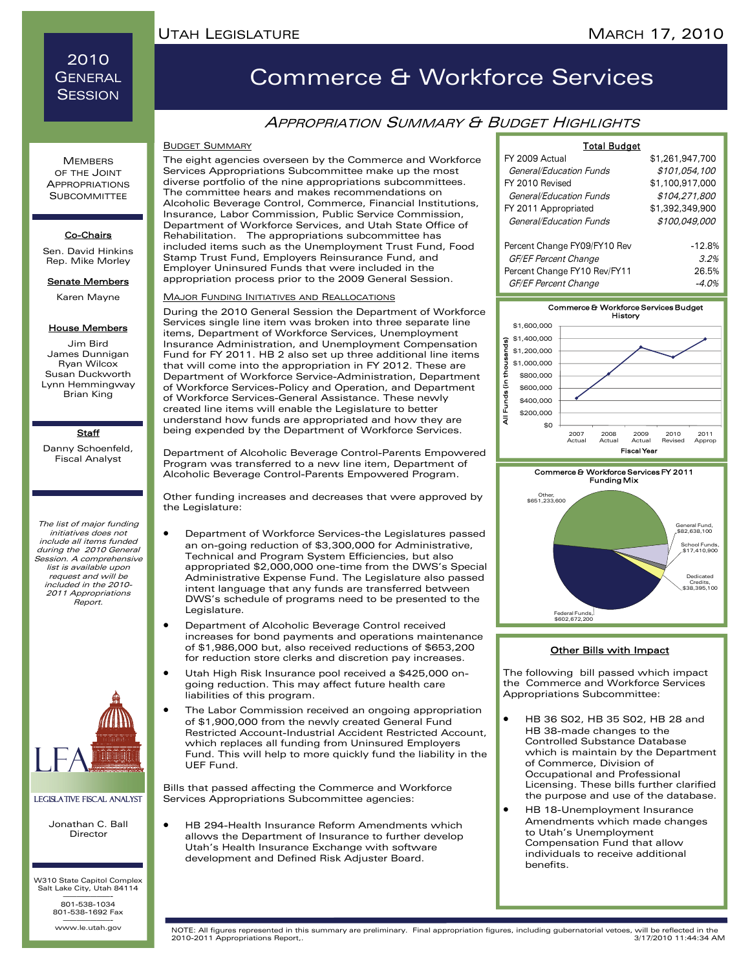## 2010 **GENERAL SESSION**

# Commerce & Workforce Services

## APPROPRIATION SUMMARY & BUDGET HIGHLIGHTS

#### BUDGET SUMMARY

The eight agencies overseen by the Commerce and Workforce Services Appropriations Subcommittee make up the most diverse portfolio of the nine appropriations subcommittees. The committee hears and makes recommendations on Alcoholic Beverage Control, Commerce, Financial Institutions, Insurance, Labor Commission, Public Service Commission, Department of Workforce Services, and Utah State Office of Rehabilitation. The appropriations subcommittee has included items such as the Unemployment Trust Fund, Food Stamp Trust Fund, Employers Reinsurance Fund, and Employer Uninsured Funds that were included in the appropriation process prior to the 2009 General Session.

#### **MAJOR FUNDING INITIATIVES AND REALLOCATIONS**

During the 2010 General Session the Department of Workforce Services single line item was broken into three separate line items, Department of Workforce Services, Unemployment Insurance Administration, and Unemployment Compensation Fund for FY 2011. HB 2 also set up three additional line items that will come into the appropriation in FY 2012. These are Department of Workforce Service-Administration, Department of Workforce Services-Policy and Operation, and Department of Workforce Services-General Assistance. These newly created line items will enable the Legislature to better understand how funds are appropriated and how they are being expended by the Department of Workforce Services.

Department of Alcoholic Beverage Control-Parents Empowered Program was transferred to a new line item, Department of Alcoholic Beverage Control-Parents Empowered Program.

Other funding increases and decreases that were approved by the Legislature:

- Department of Workforce Services-the Legislatures passed an on-going reduction of \$3,300,000 for Administrative, Technical and Program System Efficiencies, but also appropriated \$2,000,000 one-time from the DWS's Special Administrative Expense Fund. The Legislature also passed intent language that any funds are transferred between DWS's schedule of programs need to be presented to the Legislature.
- Department of Alcoholic Beverage Control received increases for bond payments and operations maintenance of \$1,986,000 but, also received reductions of \$653,200 for reduction store clerks and discretion pay increases.
- Utah High Risk Insurance pool received a \$425,000 ongoing reduction. This may affect future health care liabilities of this program.
- The Labor Commission received an ongoing appropriation of \$1,900,000 from the newly created General Fund Restricted Account-Industrial Accident Restricted Account, which replaces all funding from Uninsured Employers Fund. This will help to more quickly fund the liability in the UEF Fund.

Bills that passed affecting the Commerce and Workforce Services Appropriations Subcommittee agencies:

• HB 294-Health Insurance Reform Amendments which allows the Department of Insurance to further develop Utah's Health Insurance Exchange with software development and Defined Risk Adjuster Board.

| <b>Total Budget</b>                                  |                  |
|------------------------------------------------------|------------------|
| FY 2009 Actual                                       | \$1,261,947,700  |
| General/Education Funds                              | \$101,054,100    |
| FY 2010 Revised                                      | \$1,100,917,000  |
| General/Education Funds                              | \$104,271,800    |
| FY 2011 Appropriated                                 | \$1,392,349,900  |
| General/Education Funds                              | \$100,049,000    |
| Percent Change FY09/FY10 Rev<br>GF/EF Percent Change | $-12.8%$<br>3.2% |
| Percent Change FY10 Rev/FY11                         | 26.5%            |
| GF/EF Percent Change                                 | -4.0%            |





#### Other Bills with Impact

The following bill passed which impact the Commerce and Workforce Services Appropriations Subcommittee:

- HB 36 S02, HB 35 S02, HB 28 and HB 38-made changes to the Controlled Substance Database which is maintain by the Department of Commerce, Division of Occupational and Professional Licensing. These bills further clarified the purpose and use of the database.
- HB 18-Unemployment Insurance Amendments which made changes to Utah's Unemployment Compensation Fund that allow individuals to receive additional benefits.

#### **MEMBERS** OF THE JOINT APPROPRIATIONS **SUBCOMMITTEE**

#### Co-Chairs

Sen. David Hinkins Rep. Mike Morley

**Senate Members** 

Karen Mayne

#### House Members

Jim Bird James Dunnigan Ryan Wilcox Susan Duckworth Lynn Hemmingway Brian King

#### **Staff**

Danny Schoenfeld, Fiscal Analyst

The list of major funding initiatives does not include all items funded during the 2010 General Session. A comprehensive list is available upon request and will be included in the 2010- 2011 Appropriations Report.



#### Legislative Fiscal Analyst

Jonathan C. Ball Director

W310 State Capitol Complex Salt Lake City, Utah 84114 ———————- 801-538-1034 801-538-1692 Fax

www.le.utah.gov

www.le.utah.gov NOTE: All figures represented in this summary are preliminary. Final appropriation figures, including gubernatorial vetoes, will be reflected in the 2010-2011 Appropriations Report,.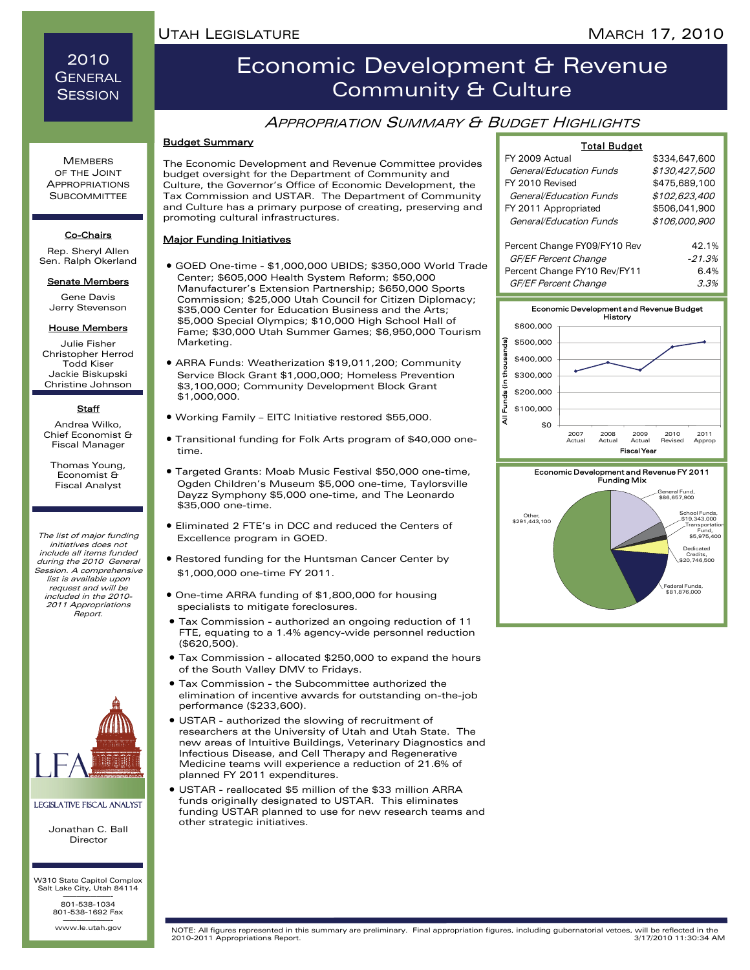2010 **GENERAL SESSION** 

**MEMBERS** OF THE JOINT APPROPRIATIONS **SUBCOMMITTEE** 

Co-Chairs Rep. Sheryl Allen Sen. Ralph Okerland **Senate Members** Gene Davis Jerry Stevenson House Members Julie Fisher Christopher Herrod Todd Kiser Jackie Biskupski Christine Johnson **Staff** Andrea Wilko, Chief Economist & Fiscal Manager Thomas Young, Economist & Fiscal Analyst

## Economic Development & Revenue Community & Culture

## APPROPRIATION SUMMARY & BUDGET HIGHLIGHTS

#### Budget Summary

The Economic Development and Revenue Committee provides budget oversight for the Department of Community and Culture, the Governor's Office of Economic Development, the Tax Commission and USTAR. The Department of Community and Culture has a primary purpose of creating, preserving and promoting cultural infrastructures.

#### Major Funding Initiatives

- GOED One-time \$1,000,000 UBIDS; \$350,000 World Trade Center; \$605,000 Health System Reform; \$50,000 Manufacturer's Extension Partnership; \$650,000 Sports Commission; \$25,000 Utah Council for Citizen Diplomacy; \$35,000 Center for Education Business and the Arts; \$5,000 Special Olympics; \$10,000 High School Hall of Fame; \$30,000 Utah Summer Games; \$6,950,000 Tourism Marketing.
- ARRA Funds: Weatherization \$19,011,200; Community Service Block Grant \$1,000,000; Homeless Prevention \$3,100,000; Community Development Block Grant \$1,000,000.
- Working Family EITC Initiative restored \$55,000.
- Transitional funding for Folk Arts program of \$40,000 onetime.
- Targeted Grants: Moab Music Festival \$50,000 one-time, Ogden Children's Museum \$5,000 one-time, Taylorsville Dayzz Symphony \$5,000 one-time, and The Leonardo \$35,000 one-time.
- Eliminated 2 FTE's in DCC and reduced the Centers of Excellence program in GOED.
- Restored funding for the Huntsman Cancer Center by \$1,000,000 one-time FY 2011.
- One-time ARRA funding of \$1,800,000 for housing specialists to mitigate foreclosures.
- Tax Commission authorized an ongoing reduction of 11 FTE, equating to a 1.4% agency-wide personnel reduction (\$620,500).
- Tax Commission allocated \$250,000 to expand the hours of the South Valley DMV to Fridays.
- Tax Commission the Subcommittee authorized the elimination of incentive awards for outstanding on-the-job performance (\$233,600).
- USTAR authorized the slowing of recruitment of researchers at the University of Utah and Utah State. The new areas of Intuitive Buildings, Veterinary Diagnostics and Infectious Disease, and Cell Therapy and Regenerative Medicine teams will experience a reduction of 21.6% of planned FY 2011 expenditures.
- USTAR reallocated \$5 million of the \$33 million ARRA funds originally designated to USTAR. This eliminates funding USTAR planned to use for new research teams and other strategic initiatives.

| <b>Total Budget</b>          |               |
|------------------------------|---------------|
| FY 2009 Actual               | \$334,647,600 |
| General/Education Funds      | \$130,427,500 |
| FY 2010 Revised              | \$475,689,100 |
| General/Education Funds      | \$102,623,400 |
| FY 2011 Appropriated         | \$506,041,900 |
| General/Education Funds      | \$106,000,900 |
|                              |               |
| Percent Change FY09/FY10 Rev | 42.1%         |
| GF/EF Percent Change         | $-21.3%$      |
| Percent Change FY10 Rev/FY11 | 6.4%          |
| GF/EF Percent Change         | 3.3%          |





#### Legislative Fiscal Analyst

LFA

The list of major funding initiatives does not include all items funded during the 2010 General Session. A comprehensive list is available upon request and will be included in the 2010- 2011 Appropriations Report.

> Jonathan C. Ball Director

W310 State Capitol Complex Salt Lake City, Utah 84114 ———————- 801-538-1034 801-538-1692 Fax

www.le.utah.gov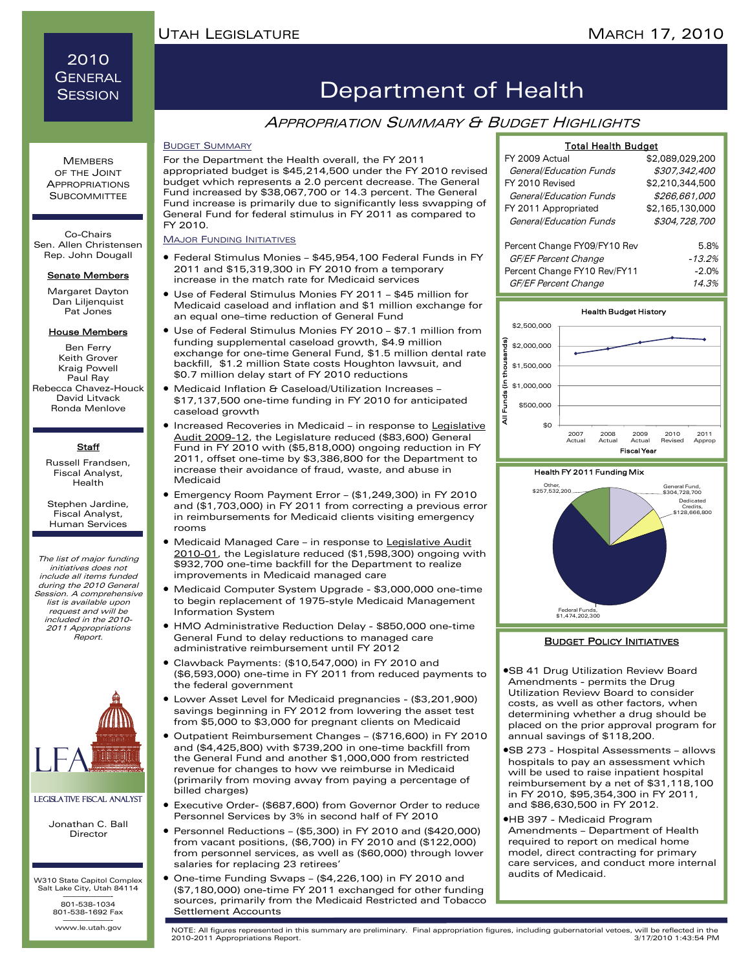## 2010 **GENERAL SESSION**

## Department of Health

### **APPROPRIATION SUMMARY & BUDGET HIGHLIGHTS**

#### BUDGET SUMMARY

For the Department the Health overall, the FY 2011 appropriated budget is \$45,214,500 under the FY 2010 revised budget which represents a 2.0 percent decrease. The General Fund increased by \$38,067,700 or 14.3 percent. The General Fund increase is primarily due to significantly less swapping of General Fund for federal stimulus in FY 2011 as compared to FY 2010.

#### **MAJOR FUNDING INITIATIVES**

- Federal Stimulus Monies \$45,954,100 Federal Funds in FY 2011 and \$15,319,300 in FY 2010 from a temporary increase in the match rate for Medicaid services
- Use of Federal Stimulus Monies FY 2011 \$45 million for Medicaid caseload and inflation and \$1 million exchange for an equal one–time reduction of General Fund
- Use of Federal Stimulus Monies FY 2010 \$7.1 million from funding supplemental caseload growth, \$4.9 million exchange for one-time General Fund, \$1.5 million dental rate backfill, \$1.2 million State costs Houghton lawsuit, and \$0.7 million delay start of FY 2010 reductions
- Medicaid Inflation & Caseload/Utilization Increases \$17,137,500 one-time funding in FY 2010 for anticipated caseload growth
- Increased Recoveries in Medicaid in response to [Legislative](http://www.le.utah.gov/audit/09_12rpt.pdf)  [Audit 2009-12](http://www.le.utah.gov/audit/09_12rpt.pdf), the Legislature reduced (\$83,600) General Fund in FY 2010 with (\$5,818,000) ongoing reduction in FY 2011, offset one-time by \$3,386,800 for the Department to increase their avoidance of fraud, waste, and abuse in Medicaid
- Emergency Room Payment Error (\$1,249,300) in FY 2010 and (\$1,703,000) in FY 2011 from correcting a previous error in reimbursements for Medicaid clients visiting emergency rooms
- Medicaid Managed Care in response to Legislative Audit [2010-01](http://www.le.utah.gov/audit/10_01rpt.pdf), the Legislature reduced (\$1,598,300) ongoing with \$932,700 one-time backfill for the Department to realize improvements in Medicaid managed care
- Medicaid Computer System Upgrade \$3,000,000 one-time to begin replacement of 1975-style Medicaid Management Information System
- HMO Administrative Reduction Delay \$850,000 one-time Report. **Example 3 Compared Fund to delay reductions to managed care BUDGET POLICY INITIATIVES** administrative reimbursement until FY 2012
	- Clawback Payments: (\$10,547,000) in FY 2010 and (\$6,593,000) one-time in FY 2011 from reduced payments to the federal government
	- Lower Asset Level for Medicaid pregnancies (\$3,201,900) savings beginning in FY 2012 from lowering the asset test from \$5,000 to \$3,000 for pregnant clients on Medicaid
	- Outpatient Reimbursement Changes (\$716,600) in FY 2010 and (\$4,425,800) with \$739,200 in one-time backfill from the General Fund and another \$1,000,000 from restricted revenue for changes to how we reimburse in Medicaid (primarily from moving away from paying a percentage of billed charges)
	- Executive Order- (\$687,600) from Governor Order to reduce Personnel Services by 3% in second half of FY 2010
	- Personnel Reductions (\$5,300) in FY 2010 and (\$420,000) from vacant positions, (\$6,700) in FY 2010 and (\$122,000) from personnel services, as well as (\$60,000) through lower salaries for replacing 23 retirees'
	- One-time Funding Swaps (\$4,226,100) in FY 2010 and (\$7,180,000) one-time FY 2011 exchanged for other funding sources, primarily from the Medicaid Restricted and Tobacco Settlement Accounts

| FY 2009 Actual               | \$2,089,029,200 |
|------------------------------|-----------------|
| General/Education Funds      | \$307,342,400   |
| FY 2010 Revised              | \$2,210,344,500 |
| General/Education Funds      | \$266,661,000   |
| FY 2011 Appropriated         | \$2,165,130,000 |
| General/Education Funds      | \$304,728,700   |
|                              |                 |
| Percent Change FY09/FY10 Rev | 5.8%            |
| <b>GF/EF Percent Change</b>  | $-13.2%$        |
| Percent Change FY10 Rev/FY11 | $-2.0%$         |

Total Health Budget

GF/EF Percent Change 14.3%





- •SB 41 Drug Utilization Review Board Amendments - permits the Drug Utilization Review Board to consider costs, as well as other factors, when determining whether a drug should be placed on the prior approval program for annual savings of \$118,200.
- •SB 273 Hospital Assessments allows hospitals to pay an assessment which will be used to raise inpatient hospital reimbursement by a net of \$31,118,100 in FY 2010, \$95,354,300 in FY 2011, and \$86,630,500 in FY 2012.
- •HB 397 Medicaid Program Amendments – Department of Health required to report on medical home model, direct contracting for primary care services, and conduct more internal audits of Medicaid.

**MEMBERS** OF THE JOINT APPROPRIATIONS **SUBCOMMITTEE** 

Co-Chairs Sen. Allen Christensen Rep. John Dougall

#### Senate Members

Margaret Dayton Dan Lilienquist Pat Jones

#### House Members

Ben Ferry Keith Grover Kraig Powell Paul Ray Rebecca Chavez-Houck David Litvack Ronda Menlove

#### **Staff**

Russell Frandsen, Fiscal Analyst, Health

Stephen Jardine, Fiscal Analyst, Human Services

The list of major funding initiatives does not include all items funded during the 2010 General Session. A comprehensive list is available upon request and will be included in the 2010- 2011 Appropriations



#### Legislative Fiscal Analyst

Jonathan C. Ball Director

W310 State Capitol Complex Salt Lake City, Utah 84114 ———————- 801-538-1034

801-538-1692 Fax

www.le.utah.gov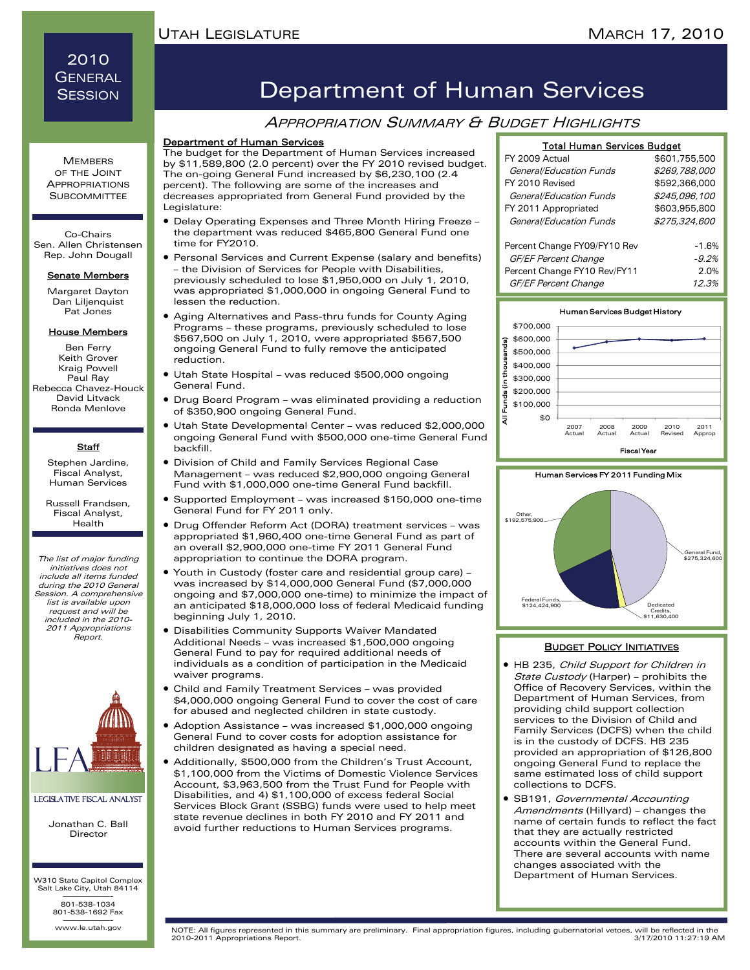## 2010 **GENERAL SESSION**

#### **MEMBERS** OF THE JOINT APPROPRIATIONS **SUBCOMMITTEE**

Co-Chairs Sen. Allen Christensen Rep. John Dougall

#### Senate Members

Margaret Dayton Dan Lilienquist Pat Jones

#### House Members

Ben Ferry Keith Grover Kraig Powell Paul Ray Rebecca Chavez-Houck David Litvack Ronda Menlove

#### **Staff**

Stephen Jardine, Fiscal Analyst, Human Services

Russell Frandsen, Fiscal Analyst, Health

The list of major funding initiatives does not include all items funded during the 2010 General Session. A comprehensive list is available upon request and will be included in the 2010- 2011 Appropriations Report.



#### Legislative Fiscal Analyst

Jonathan C. Ball Director

W310 State Capitol Complex Salt Lake City, Utah 84114 ———————- 801-538-1034 801-538-1692 Fax

www.le.utah.gov

## Department of Human Services

### **APPROPRIATION SUMMARY & BUDGET HIGHLIGHTS**

#### Department of Human Services

The budget for the Department of Human Services increased by \$11,589,800 (2.0 percent) over the FY 2010 revised budget. The on-going General Fund increased by \$6,230,100 (2.4 percent). The following are some of the increases and decreases appropriated from General Fund provided by the Legislature:

- Delay Operating Expenses and Three Month Hiring Freeze the department was reduced \$465,800 General Fund one time for FY2010.
- Personal Services and Current Expense (salary and benefits) – the Division of Services for People with Disabilities, previously scheduled to lose \$1,950,000 on July 1, 2010, was appropriated \$1,000,000 in ongoing General Fund to lessen the reduction.
- Aging Alternatives and Pass-thru funds for County Aging Programs – these programs, previously scheduled to lose \$567,500 on July 1, 2010, were appropriated \$567,500 ongoing General Fund to fully remove the anticipated reduction.
- Utah State Hospital was reduced \$500,000 ongoing General Fund.
- Drug Board Program was eliminated providing a reduction of \$350,900 ongoing General Fund.
- Utah State Developmental Center was reduced \$2,000,000 ongoing General Fund with \$500,000 one-time General Fund backfill.
- Division of Child and Family Services Regional Case Management – was reduced \$2,900,000 ongoing General Fund with \$1,000,000 one-time General Fund backfill.
- Supported Employment was increased \$150,000 one-time General Fund for FY 2011 only.
- Drug Offender Reform Act (DORA) treatment services was appropriated \$1,960,400 one-time General Fund as part of an overall \$2,900,000 one-time FY 2011 General Fund appropriation to continue the DORA program.
- Youth in Custody (foster care and residential group care) was increased by \$14,000,000 General Fund (\$7,000,000 ongoing and \$7,000,000 one-time) to minimize the impact of an anticipated \$18,000,000 loss of federal Medicaid funding beginning July 1, 2010.
- Disabilities Community Supports Waiver Mandated Additional Needs – was increased \$1,500,000 ongoing General Fund to pay for required additional needs of individuals as a condition of participation in the Medicaid waiver programs.
- Child and Family Treatment Services was provided \$4,000,000 ongoing General Fund to cover the cost of care for abused and neglected children in state custody.
- Adoption Assistance was increased \$1,000,000 ongoing General Fund to cover costs for adoption assistance for children designated as having a special need.
- Additionally, \$500,000 from the Children's Trust Account, \$1,100,000 from the Victims of Domestic Violence Services Account, \$3,963,500 from the Trust Fund for People with Disabilities, and 4) \$1,100,000 of excess federal Social Services Block Grant (SSBG) funds were used to help meet state revenue declines in both FY 2010 and FY 2011 and avoid further reductions to Human Services programs.

| <b>Total Human Services Budget</b> |               |  |
|------------------------------------|---------------|--|
| FY 2009 Actual                     | \$601,755,500 |  |
| General/Education Funds            | \$269,788,000 |  |
| FY 2010 Revised                    | \$592.366.000 |  |
| General/Education Funds            | \$245,096,100 |  |
| FY 2011 Appropriated               | \$603,955,800 |  |
| General/Education Funds            | \$275,324,600 |  |
| Percent Change FY09/FY10 Rev       | $-1.6%$       |  |
| GF/EF Percent Change               | $-9.2%$       |  |
| Percent Change FY10 Rev/FY11       | 2.0%          |  |
| GF/EF Percent Change               | 12.3%         |  |





#### **BUDGET POLICY INITIATIVES**

- HB 235, Child Support for Children in State Custody (Harper) - prohibits the Office of Recovery Services, within the Department of Human Services, from providing child support collection services to the Division of Child and Family Services (DCFS) when the child is in the custody of DCFS. HB 235 provided an appropriation of \$126,800 ongoing General Fund to replace the same estimated loss of child support collections to DCFS.
- SB191, Governmental Accounting Amendments (Hillyard) - changes the name of certain funds to reflect the fact that they are actually restricted accounts within the General Fund. There are several accounts with name changes associated with the Department of Human Services.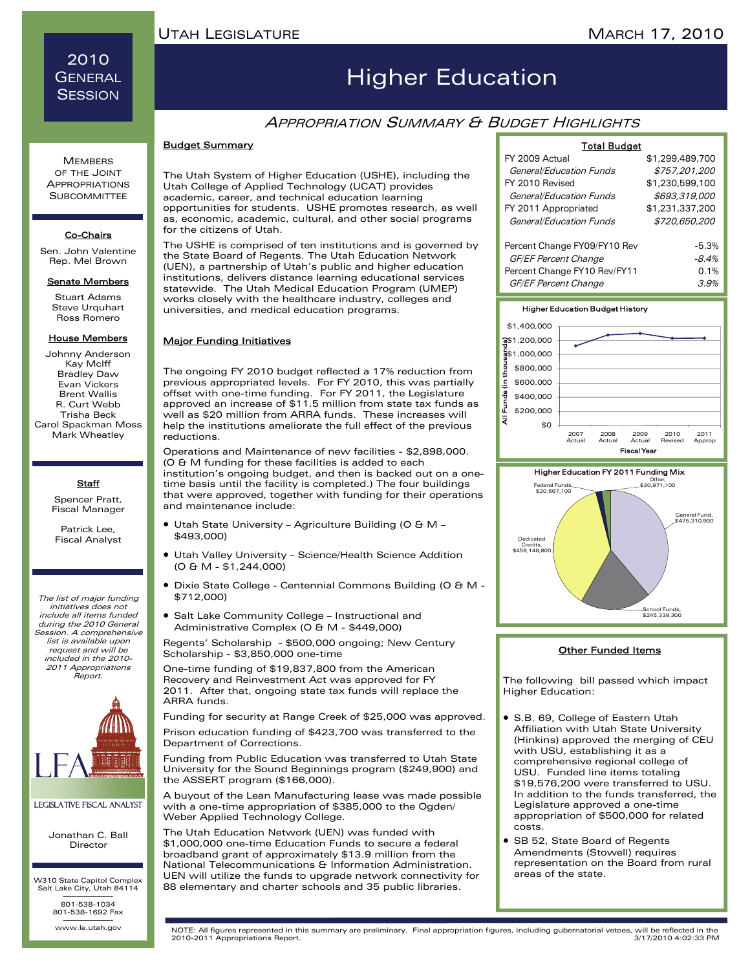## 2010 **GENERAL SESSION**

# Higher Education

## **APPROPRIATION SUMMARY & BUDGET HIGHLIGHTS**

#### Budget Summary

The Utah System of Higher Education (USHE), including the Utah College of Applied Technology (UCAT) provides academic, career, and technical education learning opportunities for students. USHE promotes research, as well as, economic, academic, cultural, and other social programs for the citizens of Utah.

The USHE is comprised of ten institutions and is governed by the State Board of Regents. The Utah Education Network (UEN), a partnership of Utah's public and higher education institutions, delivers distance learning educational services statewide. The Utah Medical Education Program (UMEP) works closely with the healthcare industry, colleges and universities, and medical education programs.

#### Major Funding Initiatives

The ongoing FY 2010 budget reflected a 17% reduction from previous appropriated levels. For FY 2010, this was partially offset with one-time funding. For FY 2011, the Legislature approved an increase of \$11.5 million from state tax funds as well as \$20 million from ARRA funds. These increases will help the institutions ameliorate the full effect of the previous reductions.

Operations and Maintenance of new facilities - \$2,898,000. (O & M funding for these facilities is added to each institution's ongoing budget, and then is backed out on a onetime basis until the facility is completed.) The four buildings that were approved, together with funding for their operations and maintenance include:

- Utah State University Agriculture Building (O & M \$493,000)
- Utah Valley University Science/Health Science Addition (O & M - \$1,244,000)
- Dixie State College Centennial Commons Building (O & M \$712,000)
- Salt Lake Community College Instructional and Administrative Complex (O & M - \$449,000)

Regents' Scholarship - \$500,000 ongoing; New Century Scholarship - \$3,850,000 one-time

One-time funding of \$19,837,800 from the American Recovery and Reinvestment Act was approved for FY 2011. After that, ongoing state tax funds will replace the ARRA funds.

Funding for security at Range Creek of \$25,000 was approved.

Prison education funding of \$423,700 was transferred to the Department of Corrections.

Funding from Public Education was transferred to Utah State University for the Sound Beginnings program (\$249,900) and the ASSERT program (\$166,000).

A buyout of the Lean Manufacturing lease was made possible with a one-time appropriation of \$385,000 to the Ogden/ Weber Applied Technology College.

The Utah Education Network (UEN) was funded with \$1,000,000 one-time Education Funds to secure a federal broadband grant of approximately \$13.9 million from the National Telecommunications & Information Administration. UEN will utilize the funds to upgrade network connectivity for 88 elementary and charter schools and 35 public libraries.

| TUM PUUYU                    |                 |
|------------------------------|-----------------|
| FY 2009 Actual               | \$1,299,489,700 |
| General/Education Funds      | \$757,201,200   |
| FY 2010 Revised              | \$1,230,599,100 |
| General/Education Funds      | \$693,319,000   |
| FY 2011 Appropriated         | \$1,231,337,200 |
| General/Education Funds      | \$720,650,200   |
| Percent Change FY09/FY10 Rev | $-5.3%$         |
| GF/EF Percent Change         | $-8.4%$         |
| Percent Change FY10 Rev/FY11 | 0.1%            |
| GF/EF Percent Change         | 3.9%            |

Total Budget





#### Other Funded Items

The following bill passed which impact Higher Education:

- S.B. 69, College of Eastern Utah Affiliation with Utah State University (Hinkins) approved the merging of CEU with USU, establishing it as a comprehensive regional college of USU. Funded line items totaling \$19,576,200 were transferred to USU. In addition to the funds transferred, the Legislature approved a one-time appropriation of \$500,000 for related costs.
- SB 52, State Board of Regents Amendments (Stowell) requires representation on the Board from rural areas of the state.

www.le.utah.gov

www.le.utah.gov NOTE: All figures represented in this summary are preliminary. Final appropriation figures, including gubernatorial vetoes, will be reflected in the 2010-2011 Appropriations Report.

**MEMBERS** OF THE JOINT APPROPRIATIONS **SUBCOMMITTEE** 

#### Co-Chairs

Sen. John Valentine Rep. Mel Brown

#### **Senate Members**

Stuart Adams Steve Urquhart Ross Romero

#### House Members

Johnny Anderson Kay McIff Bradley Daw Evan Vickers Brent Wallis R. Curt Webb Trisha Beck Carol Spackman Moss Mark Wheatley

#### **Staff**

Spencer Pratt, Fiscal Manager

Patrick Lee, Fiscal Analyst

The list of major funding initiatives does not include all items funded during the 2010 General Session. A comprehensive list is available upon request and will be included in the 2010- 2011 Appropriations Report.



#### Legislative Fiscal Analyst

Jonathan C. Ball Director

W310 State Capitol Complex Salt Lake City, Utah 84114 ———————- 801-538-1034

801-538-1692 Fax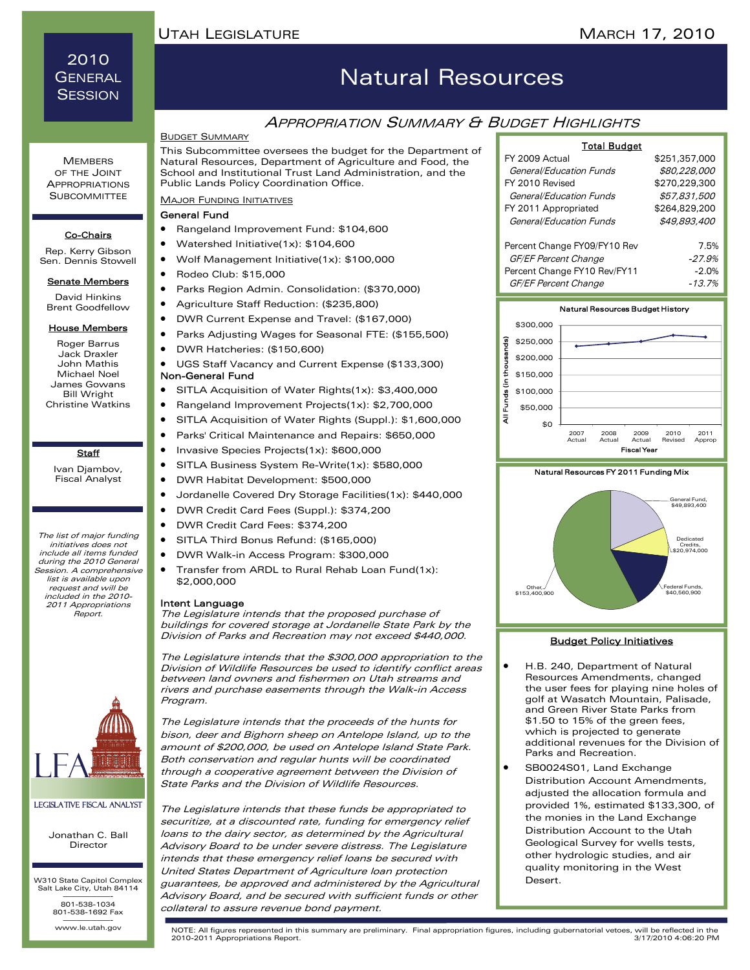## MARCH 17, 2010

## 2010 GENERAL **SESSION**

## Natural Resources

### **APPROPRIATION SUMMARY & BUDGET HIGHLIGHTS**

### BUDGET SUMMARY

This Subcommittee oversees the budget for the Department of Natural Resources, Department of Agriculture and Food, the School and Institutional Trust Land Administration, and the Public Lands Policy Coordination Office.

#### **MAJOR FUNDING INITIATIVES**

#### General Fund

- Rangeland Improvement Fund: \$104,600
- Watershed Initiative(1x): \$104,600
- Wolf Management Initiative(1x): \$100,000
- Rodeo Club: \$15,000
- Parks Region Admin. Consolidation: (\$370,000)
- Agriculture Staff Reduction: (\$235,800)
- DWR Current Expense and Travel: (\$167,000)
- Parks Adjusting Wages for Seasonal FTE: (\$155,500)
- DWR Hatcheries: (\$150,600)
- UGS Staff Vacancy and Current Expense (\$133,300) Non-General Fund

- SITLA Acquisition of Water Rights(1x): \$3,400,000 • Rangeland Improvement Projects(1x): \$2,700,000
- SITLA Acquisition of Water Rights (Suppl.): \$1,600,000
- Parks' Critical Maintenance and Repairs: \$650,000
- Invasive Species Projects(1x): \$600,000
- SITLA Business System Re-Write(1x): \$580,000
- DWR Habitat Development: \$500,000
- Jordanelle Covered Dry Storage Facilities(1x): \$440,000
- DWR Credit Card Fees (Suppl.): \$374,200
- DWR Credit Card Fees: \$374,200
- SITLA Third Bonus Refund: (\$165,000)
- DWR Walk-in Access Program: \$300,000
- Transfer from ARDL to Rural Rehab Loan Fund(1x): \$2,000,000

#### Intent Language

The Legislature intends that the proposed purchase of buildings for covered storage at Jordanelle State Park by the Division of Parks and Recreation may not exceed \$440,000.

The Legislature intends that the \$300,000 appropriation to the Division of Wildlife Resources be used to identify conflict areas between land owners and fishermen on Utah streams and rivers and purchase easements through the Walk-in Access Program.

The Legislature intends that the proceeds of the hunts for bison, deer and Bighorn sheep on Antelope Island, up to the amount of \$200,000, be used on Antelope Island State Park. Both conservation and regular hunts will be coordinated through a cooperative agreement between the Division of State Parks and the Division of Wildlife Resources.

The Legislature intends that these funds be appropriated to securitize, at a discounted rate, funding for emergency relief loans to the dairy sector, as determined by the Agricultural Advisory Board to be under severe distress. The Legislature intends that these emergency relief loans be secured with United States Department of Agriculture loan protection guarantees, be approved and administered by the Agricultural Advisory Board, and be secured with sufficient funds or other collateral to assure revenue bond payment.

#### Total Budget

| FY 2009 Actual               | \$251,357,000 |
|------------------------------|---------------|
| General/Education Funds      | \$80,228,000  |
| FY 2010 Revised              | \$270,229,300 |
| General/Education Funds      | \$57,831,500  |
| FY 2011 Appropriated         | \$264,829,200 |
| General/Education Funds      | \$49.893.400  |
| Percent Change FY09/FY10 Rev | 7.5%          |
| <b>GF/EF Percent Change</b>  | $-27.9%$      |
| Percent Change FY10 Rev/FY11 | $-2.0%$       |
| GF/EF Percent Change         | $-13.7%$      |







#### Budget Policy Initiatives

- H.B. 240, Department of Natural Resources Amendments, changed the user fees for playing nine holes of golf at Wasatch Mountain, Palisade, and Green River State Parks from \$1.50 to 15% of the green fees, which is projected to generate additional revenues for the Division of Parks and Recreation.
- SB0024S01, Land Exchange Distribution Account Amendments, adjusted the allocation formula and provided 1%, estimated \$133,300, of the monies in the Land Exchange Distribution Account to the Utah Geological Survey for wells tests, other hydrologic studies, and air quality monitoring in the West Desert.

www.le.utah.gov NOTE: All figures represented in this summary are preliminary. Final appropriation figures, including gubernatorial vetoes, will be reflected in the 2010-2011 Appropriations Report.

**MEMBERS** OF THE JOINT APPROPRIATIONS **SUBCOMMITTEE** 

#### Co-Chairs

Rep. Kerry Gibson Sen. Dennis Stowell

#### **Senate Members**

David Hinkins Brent Goodfellow

#### House Members

Roger Barrus Jack Draxler John Mathis Michael Noel James Gowans Bill Wright Christine Watkins

### **Staff**

Ivan Djambov, Fiscal Analyst

The list of major funding initiatives does not include all items funded during the 2010 General Session. A comprehensive list is available upon request and will be included in the 2010- 2011 Appropriations Report.



#### Legislative Fiscal Analyst

Jonathan C. Ball Director

W310 State Capitol Complex Salt Lake City, Utah 84114 ———————- 801-538-1034

801-538-1692 Fax

www.le.utah.gov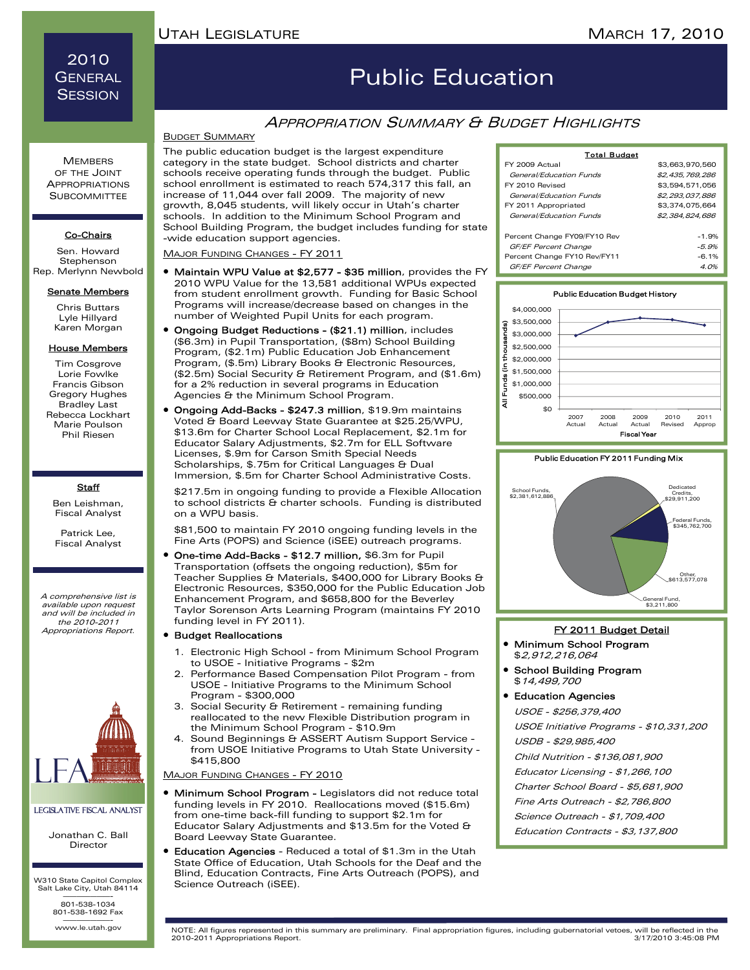## 2010 **GENERAL SESSION**

Co-Chairs Sen. Howard Stephenson Rep. Merlynn Newbold **Senate Members** Chris Buttars Lyle Hillyard Karen Morgan House Members Tim Cosgrove Lorie Fowlke Francis Gibson Gregory Hughes Bradley Last Rebecca Lockhart Marie Poulson Phil Riesen

> **Staff** Ben Leishman, Fiscal Analyst Patrick Lee, Fiscal Analyst

A comprehensive list is available upon request and will be included in the 2010-2011

# Public Education

## APPROPRIATION SUMMARY & BUDGET HIGHLIGHTS

The public education budget is the largest expenditure category in the state budget. School districts and charter schools receive operating funds through the budget. Public school enrollment is estimated to reach 574,317 this fall, an increase of 11,044 over fall 2009. The majority of new growth, 8,045 students, will likely occur in Utah's charter schools. In addition to the Minimum School Program and School Building Program, the budget includes funding for state -wide education support agencies.

MAJOR FUNDING CHANGES - FY 2011

- Maintain WPU Value at \$2,577 \$35 million, provides the FY 2010 WPU Value for the 13,581 additional WPUs expected from student enrollment growth. Funding for Basic School Programs will increase/decrease based on changes in the number of Weighted Pupil Units for each program.
- Ongoing Budget Reductions (\$21.1) million, includes (\$6.3m) in Pupil Transportation, (\$8m) School Building Program, (\$2.1m) Public Education Job Enhancement Program, (\$.5m) Library Books & Electronic Resources, (\$2.5m) Social Security & Retirement Program, and (\$1.6m) for a 2% reduction in several programs in Education Agencies & the Minimum School Program.
- Ongoing Add-Backs \$247.3 million, \$19.9m maintains Voted & Board Leeway State Guarantee at \$25.25/WPU, \$13.6m for Charter School Local Replacement, \$2.1m for Educator Salary Adjustments, \$2.7m for ELL Software Licenses, \$.9m for Carson Smith Special Needs Scholarships, \$.75m for Critical Languages & Dual Immersion, \$.5m for Charter School Administrative Costs.

 \$217.5m in ongoing funding to provide a Flexible Allocation to school districts & charter schools. Funding is distributed on a WPU basis.

 \$81,500 to maintain FY 2010 ongoing funding levels in the Fine Arts (POPS) and Science (iSEE) outreach programs.

• One-time Add-Backs - \$12.7 million, \$6.3m for Pupil Transportation (offsets the ongoing reduction), \$5m for Teacher Supplies & Materials, \$400,000 for Library Books & Electronic Resources, \$350,000 for the Public Education Job Enhancement Program, and \$658,800 for the Beverley Taylor Sorenson Arts Learning Program (maintains FY 2010 funding level in FY 2011).

#### • Budget Reallocations

- 1. Electronic High School from Minimum School Program to USOE - Initiative Programs - \$2m
- 2. Performance Based Compensation Pilot Program from USOE - Initiative Programs to the Minimum School Program - \$300,000
- 3. Social Security & Retirement remaining funding reallocated to the new Flexible Distribution program in the Minimum School Program - \$10.9m
- 4. Sound Beginnings & ASSERT Autism Support Service from USOE Initiative Programs to Utah State University - \$415,800

MAJOR FUNDING CHANGES - FY 2010

- Minimum School Program Legislators did not reduce total funding levels in FY 2010. Reallocations moved (\$15.6m) from one-time back-fill funding to support \$2.1m for Educator Salary Adjustments and \$13.5m for the Voted & Board Leeway State Guarantee.
- Education Agencies Reduced a total of \$1.3m in the Utah State Office of Education, Utah Schools for the Deaf and the Blind, Education Contracts, Fine Arts Outreach (POPS), and Science Outreach (iSEE).

| <b>Total Budget</b>          |                 |
|------------------------------|-----------------|
| FY 2009 Actual               | \$3,663,970,560 |
| General/Education Funds      | \$2,435,769,286 |
| FY 2010 Revised              | \$3,594,571,056 |
| General/Education Funds      | \$2,293,037,886 |
| FY 2011 Appropriated         | \$3,374,075,664 |
| General/Education Funds      | \$2,384,824,686 |
|                              |                 |
| Percent Change FY09/FY10 Rev | $-1.9%$         |
| GF/EF Percent Change         | $-5.9%$         |
| Percent Change FY10 Rev/FY11 | $-6.1%$         |
| <b>GF/EF Percent Change</b>  | 4.0%            |





#### Appropriations Report. For a purchase of the propriations of the propriations Report.

- Minimum School Program \$2,912,216,064
- School Building Program \$14,499,700
- Education Agencies

USOE - \$256,379,400

USOE Initiative Programs - \$10,331,200

USDB - \$29,985,400

Child Nutrition - \$136,081,900

Educator Licensing - \$1,266,100

Charter School Board - \$5,681,900

Fine Arts Outreach - \$2,786,800

Science Outreach - \$1,709,400

Education Contracts - \$3,137,800



### Legislative Fiscal Analyst

Jonathan C. Ball Director

W310 State Capitol Complex Salt Lake City, Utah 84114 ———————- 801-538-1034

801-538-1692 Fax

www.le.utah.gov

www.le.utah.gov NOTE: All figures represented in this summary are preliminary. Final appropriation figures, including gubernatorial vetoes, will be reflected in the 2010-2011 Appropriations Report.

## BUDGET SUMMARY

**MEMBERS** OF THE JOINT APPROPRIATIONS **SUBCOMMITTEE**